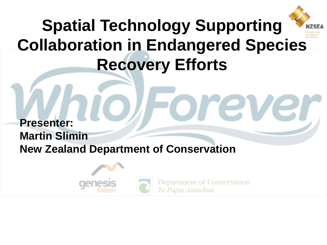#### **Spatial Technology Supporting Collaboration in Endangered Species Recovery Efforts**

**Presenter: Martin Slimin New Zealand Department of Conservation**



Department of Conservation Te Papa Atawbai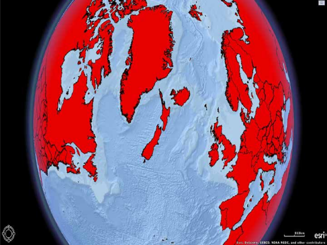

à.

Determe, GEBCO, NOAA NGDC, and other contributors Bart,

۵

**SO**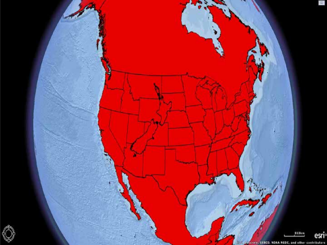

 $\frac{1}{2}$ 

**PSITE**<br>NOAA NGCC, and other contributors GEBCO.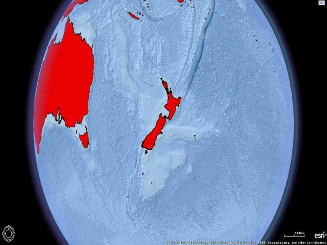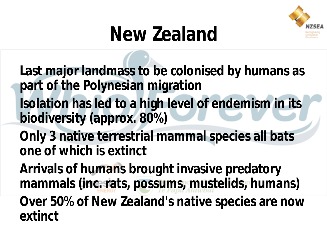

#### **New Zealand**

- **Last major landmass to be colonised by humans as part of the Polynesian migration**
- **Isolation has led to a high level of endemism in its biodiversity (approx. 80%)**
- **Only 3 native terrestrial mammal species all bats one of which is extinct**
- **Arrivals of humans brought invasive predatory mammals (inc. rats, possums, mustelids, humans) Over 50% of New Zealand's native species are now extinct**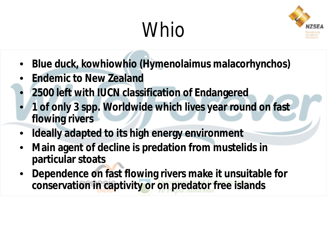# Whio



- **Blue duck, kowhiowhio (Hymenolaimus malacorhynchos)**
- **Endemic to New Zealand**
- **2500 left with IUCN classification of Endangered**
- **1 of only 3 spp. Worldwide which lives year round on fast flowing rivers**
- **Ideally adapted to its high energy environment**
- **Main agent of decline is predation from mustelids in particular stoats**
- **Dependence on fast flowing rivers make it unsuitable for conservation in captivity or on predator free islands**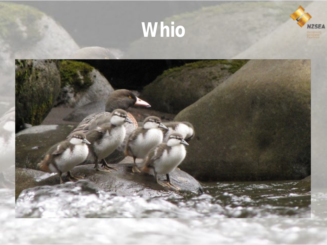



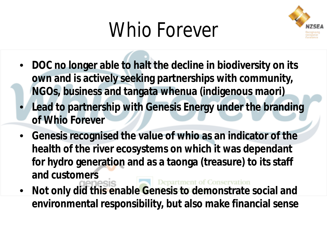#### Whio Forever



- **DOC no longer able to halt the decline in biodiversity on its own and is actively seeking partnerships with community, NGOs, business and tangata whenua (indigenous maori)**
- **Lead to partnership with Genesis Energy under the branding of Whio Forever**
- **Genesis recognised the value of whio as an indicator of the health of the river ecosystems on which it was dependant for hydro generation and as a taonga (treasure) to its staff and customers** Department of Conservation
- **Not only did this enable Genesis to demonstrate social and environmental responsibility, but also make financial sense**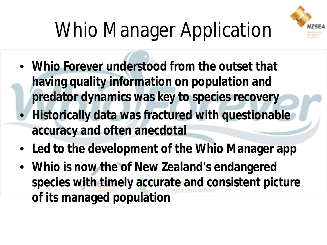

# Whio Manager Application

- **Whio Forever understood from the outset that having quality information on population and predator dynamics was key to species recovery**
- **Historically data was fractured with questionable accuracy and often anecdotal**
- **Led to the development of the Whio Manager app**
- **Whio is now the of New Zealand's endangered species with timely accurate and consistent picture of its managed population**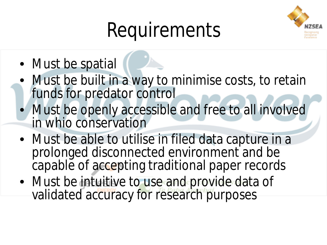#### Requirements



- Must be spatial
- Must be built in a way to minimise costs, to retain funds for predator control
- Must be openly accessible and free to all involved in whio conservation
- Must be able to utilise in filed data capture in a prolonged disconnected environment and be capable of accepting traditional paper records
- Must be intuitive to use and provide data of validated accuracy for research purposes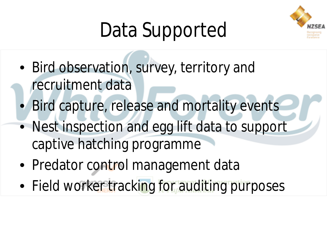

## Data Supported

- Bird observation, survey, territory and recruitment data
- Bird capture, release and mortality events
- Nest inspection and egg lift data to support captive hatching programme
- Predator control management data
- Field worker tracking for auditing purposes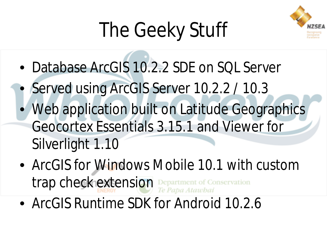

## The Geeky Stuff

- Database ArcGIS 10.2.2 SDE on SQL Server
- Served using ArcGIS Server 10.2.2 / 10.3
- Web application built on Latitude Geographics Geocortex Essentials 3.15.1 and Viewer for Silverlight 1.10
- ArcGIS for Windows Mobile 10.1 with custom trap check extension Depart t of Conservation
- ArcGIS Runtime SDK for Android 10.2.6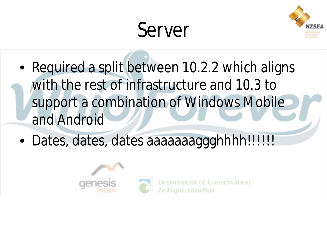#### Server



- Required a split between 10.2.2 which aligns with the rest of infrastructure and 10.3 to support a combination of Windows Mobile and Android
- Dates, dates, dates aaaaaaaggghhhh!!!!!!!



Department of Conservation Te Papa Atawbai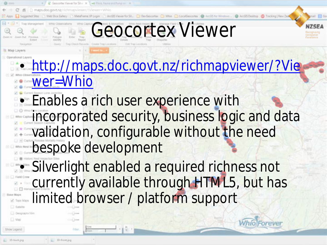| Apolitas Valvaritas Silvi X (146 Filica, facilia anatturo                                                                                                                                                                                                                                                                                                                                                         |              |
|-------------------------------------------------------------------------------------------------------------------------------------------------------------------------------------------------------------------------------------------------------------------------------------------------------------------------------------------------------------------------------------------------------------------|--------------|
| maps.doc.govt.nz/nchmapviewer/ (Viewern Whi                                                                                                                                                                                                                                                                                                                                                                       |              |
| Web Sick Gallery     MetaFrame XP Login     ArtOS Viewer for Sil.   DevOeocortes     While     LocalGeocortes     ArtOS for Windows<br>ArcOIS Desitop <b>@</b> Tracking   New Zead                                                                                                                                                                                                                                |              |
| <b>Geocortex Viewer</b>                                                                                                                                                                                                                                                                                                                                                                                           | <b>NZSEA</b> |
|                                                                                                                                                                                                                                                                                                                                                                                                                   |              |
|                                                                                                                                                                                                                                                                                                                                                                                                                   |              |
|                                                                                                                                                                                                                                                                                                                                                                                                                   |              |
|                                                                                                                                                                                                                                                                                                                                                                                                                   |              |
| http://maps.doc.govt.nz/richmapviewer/?Vie                                                                                                                                                                                                                                                                                                                                                                        |              |
|                                                                                                                                                                                                                                                                                                                                                                                                                   |              |
| wer=Whio                                                                                                                                                                                                                                                                                                                                                                                                          |              |
|                                                                                                                                                                                                                                                                                                                                                                                                                   |              |
| • Enables a rich user experience with                                                                                                                                                                                                                                                                                                                                                                             |              |
|                                                                                                                                                                                                                                                                                                                                                                                                                   |              |
| incorporated security, business logic and data                                                                                                                                                                                                                                                                                                                                                                    |              |
| validation, configurable without the need                                                                                                                                                                                                                                                                                                                                                                         |              |
|                                                                                                                                                                                                                                                                                                                                                                                                                   |              |
| bespoke development                                                                                                                                                                                                                                                                                                                                                                                               |              |
|                                                                                                                                                                                                                                                                                                                                                                                                                   |              |
|                                                                                                                                                                                                                                                                                                                                                                                                                   |              |
| Silverlight enabled a required richness not                                                                                                                                                                                                                                                                                                                                                                       |              |
| currently available through HTML5, but has                                                                                                                                                                                                                                                                                                                                                                        |              |
|                                                                                                                                                                                                                                                                                                                                                                                                                   |              |
| limited browser / platform support<br>- Dave Maps<br>(d) Topo Micro                                                                                                                                                                                                                                                                                                                                               |              |
| C Satelha<br>$\mathcal{C}=\bigcup_{i=1}^n \mathcal{C}_i$ and                                                                                                                                                                                                                                                                                                                                                      |              |
| C) deographichles<br>$\label{eq:1} \begin{array}{ll} \hspace{-5mm} \text{\it Im}\, \mathcal{L}_{\rm c} \rightarrow \infty \end{array}$                                                                                                                                                                                                                                                                            |              |
| fogdite<br><b>D</b> Map<br>$\frac{1}{2} \sum_{i=1}^{n} \frac{1}{2} \sum_{i=1}^{n} \frac{1}{2} \sum_{i=1}^{n} \frac{1}{2} \sum_{i=1}^{n} \frac{1}{2} \sum_{i=1}^{n} \frac{1}{2} \sum_{i=1}^{n} \frac{1}{2} \sum_{i=1}^{n} \frac{1}{2} \sum_{i=1}^{n} \frac{1}{2} \sum_{i=1}^{n} \frac{1}{2} \sum_{i=1}^{n} \frac{1}{2} \sum_{i=1}^{n} \frac{1}{2} \sum_{i=1}^{n} \frac{1}{2} \sum_{i=1}^{n$<br><b>Whio</b> Forever |              |
| 축기<br>Filter.<br>Show Legend<br><b>SAM</b>                                                                                                                                                                                                                                                                                                                                                                        |              |
| $E$ il-funting<br>$=15$ -back.jpg                                                                                                                                                                                                                                                                                                                                                                                 |              |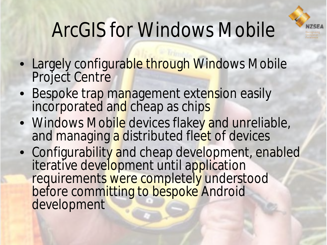

## ArcGIS for Windows Mobile

- Largely configurable through Windows Mobile Project Centre
- Bespoke trap management extension easily incorporated and cheap as chips
- Windows Mobile devices flakey and unreliable, and managing a distributed fleet of devices
- Configurability and cheap development, enabled iterative development until application requirements were completely understood before committing to bespoke Android development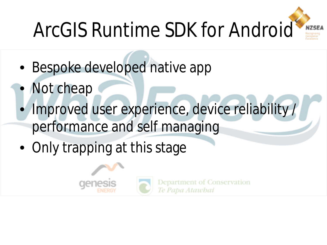# ArcGIS Runtime SDK for Android

- Bespoke developed native app
- Not cheap
- Improved user experience, device reliability / performance and self managing
- Only trapping at this stage



Department of Conservation Te Papa Atawbai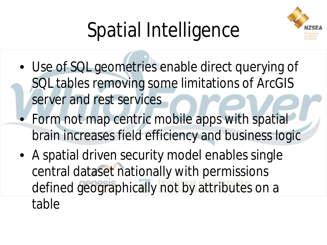

# Spatial Intelligence

- Use of SQL geometries enable direct querying of SQL tables removing some limitations of ArcGIS server and rest services
- Form not map centric mobile apps with spatial brain increases field efficiency and business logic
- A spatial driven security model enables single central dataset nationally with permissions defined geographically not by attributes on a table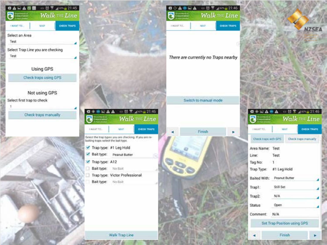



| ▲ 8 % det 21:45<br><b>Walk THE Line</b><br>MAP <sub>1</sub><br>Check traps with GPS<br>Check traps manually<br>Area Name: Test | <b>NZSEA</b><br><b>CHECK TRAPS</b>    |
|--------------------------------------------------------------------------------------------------------------------------------|---------------------------------------|
|                                                                                                                                |                                       |
|                                                                                                                                |                                       |
|                                                                                                                                |                                       |
|                                                                                                                                |                                       |
|                                                                                                                                |                                       |
|                                                                                                                                |                                       |
|                                                                                                                                |                                       |
|                                                                                                                                |                                       |
|                                                                                                                                |                                       |
|                                                                                                                                |                                       |
|                                                                                                                                |                                       |
|                                                                                                                                |                                       |
|                                                                                                                                |                                       |
|                                                                                                                                |                                       |
|                                                                                                                                |                                       |
|                                                                                                                                |                                       |
|                                                                                                                                |                                       |
|                                                                                                                                |                                       |
|                                                                                                                                |                                       |
| Test                                                                                                                           |                                       |
| $-1$                                                                                                                           |                                       |
| Trap Type: #1 Leg Hold                                                                                                         |                                       |
| Baited With: Peanut Butter                                                                                                     |                                       |
| Still Set                                                                                                                      |                                       |
| N/A                                                                                                                            |                                       |
| Open                                                                                                                           |                                       |
| Comment N/A                                                                                                                    |                                       |
|                                                                                                                                |                                       |
|                                                                                                                                |                                       |
|                                                                                                                                | Set Trap Position using GPS<br>Finish |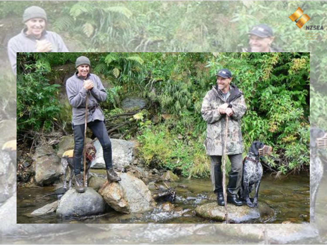